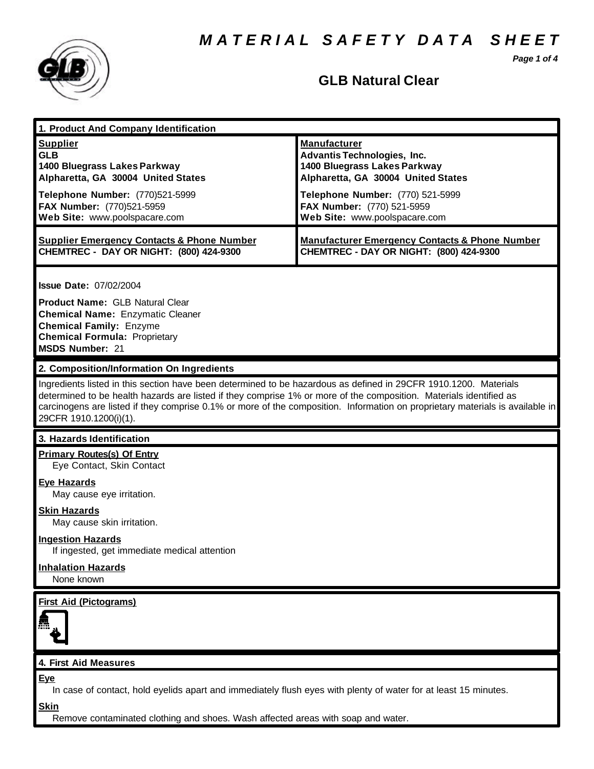*M A T E R I A L S A F E T Y D A T A S H E E T*

*Page 1 of 4*



## **GLB Natural Clear**

| 1. Product And Company Identification                                                                                                                                                                                                                                                                                                                                                             |                                                                                                                                                                                                                                    |
|---------------------------------------------------------------------------------------------------------------------------------------------------------------------------------------------------------------------------------------------------------------------------------------------------------------------------------------------------------------------------------------------------|------------------------------------------------------------------------------------------------------------------------------------------------------------------------------------------------------------------------------------|
| <b>Supplier</b><br><b>GLB</b><br>1400 Bluegrass Lakes Parkway<br>Alpharetta, GA 30004 United States<br>Telephone Number: (770)521-5999<br>FAX Number: (770)521-5959<br>Web Site: www.poolspacare.com                                                                                                                                                                                              | <b>Manufacturer</b><br><b>Advantis Technologies, Inc.</b><br>1400 Bluegrass Lakes Parkway<br>Alpharetta, GA 30004 United States<br>Telephone Number: (770) 521-5999<br>FAX Number: (770) 521-5959<br>Web Site: www.poolspacare.com |
| <b>Supplier Emergency Contacts &amp; Phone Number</b><br><b>CHEMTREC - DAY OR NIGHT: (800) 424-9300</b>                                                                                                                                                                                                                                                                                           | <b>Manufacturer Emergency Contacts &amp; Phone Number</b><br>CHEMTREC - DAY OR NIGHT: (800) 424-9300                                                                                                                               |
| <b>Issue Date: 07/02/2004</b><br><b>Product Name: GLB Natural Clear</b><br><b>Chemical Name: Enzymatic Cleaner</b><br><b>Chemical Family: Enzyme</b><br><b>Chemical Formula: Proprietary</b><br><b>MSDS Number: 21</b>                                                                                                                                                                            |                                                                                                                                                                                                                                    |
| 2. Composition/Information On Ingredients                                                                                                                                                                                                                                                                                                                                                         |                                                                                                                                                                                                                                    |
| Ingredients listed in this section have been determined to be hazardous as defined in 29CFR 1910.1200. Materials<br>determined to be health hazards are listed if they comprise 1% or more of the composition. Materials identified as<br>carcinogens are listed if they comprise 0.1% or more of the composition. Information on proprietary materials is available in<br>29CFR 1910.1200(i)(1). |                                                                                                                                                                                                                                    |
| 3. Hazards Identification                                                                                                                                                                                                                                                                                                                                                                         |                                                                                                                                                                                                                                    |
| <b>Primary Routes(s) Of Entry</b><br>Eye Contact, Skin Contact<br><b>Eye Hazards</b>                                                                                                                                                                                                                                                                                                              |                                                                                                                                                                                                                                    |
| May cause eye irritation.                                                                                                                                                                                                                                                                                                                                                                         |                                                                                                                                                                                                                                    |
| <b>Skin Hazards</b><br>May cause skin irritation.                                                                                                                                                                                                                                                                                                                                                 |                                                                                                                                                                                                                                    |
| <b>Ingestion Hazards</b><br>If ingested, get immediate medical attention                                                                                                                                                                                                                                                                                                                          |                                                                                                                                                                                                                                    |
| <b>Inhalation Hazards</b><br>None known                                                                                                                                                                                                                                                                                                                                                           |                                                                                                                                                                                                                                    |
| <b>First Aid (Pictograms)</b>                                                                                                                                                                                                                                                                                                                                                                     |                                                                                                                                                                                                                                    |
| 4. First Aid Measures                                                                                                                                                                                                                                                                                                                                                                             |                                                                                                                                                                                                                                    |
| <b>Eye</b><br>In case of contact, hold eyelids apart and immediately flush eyes with plenty of water for at least 15 minutes.<br><b>Skin</b>                                                                                                                                                                                                                                                      |                                                                                                                                                                                                                                    |

Remove contaminated clothing and shoes. Wash affected areas with soap and water.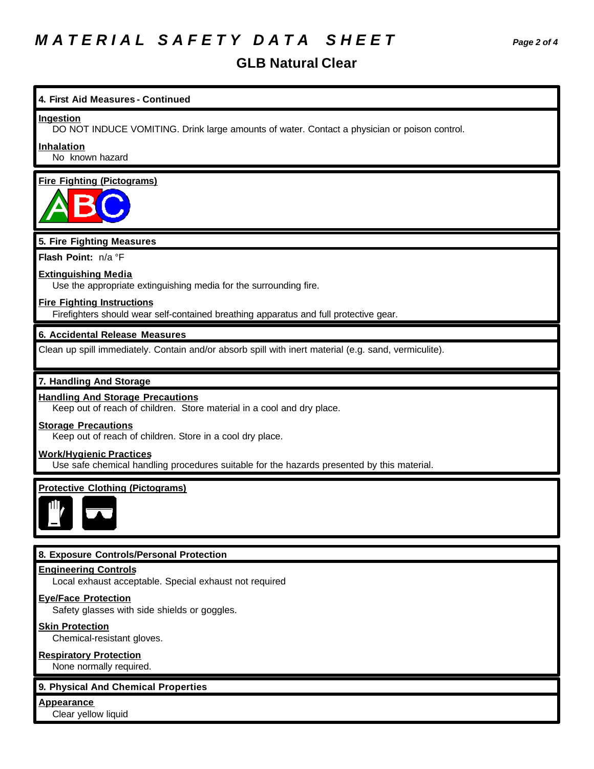# *M A T E R I A L S A F E T Y D A T A S H E E T Page 2 of 4*

### **GLB Natural Clear**

**4. First Aid Measures - Continued** DO NOT INDUCE VOMITING. Drink large amounts of water. Contact a physician or poison control. No known hazard **Fire Fighting (Pictograms) 5. Fire Fighting Measures Flash Point:** n/a °F **Extinguishing Media** Use the appropriate extinguishing media for the surrounding fire. **Fire Fighting Instructions** Firefighters should wear self-contained breathing apparatus and full protective gear.

#### **6. Accidental Release Measures**

Clean up spill immediately. Contain and/or absorb spill with inert material (e.g. sand, vermiculite).

#### **7. Handling And Storage**

**Ingestion**

**Inhalation**

#### **Handling And Storage Precautions**

Keep out of reach of children. Store material in a cool and dry place.

#### **Storage Precautions**

Keep out of reach of children. Store in a cool dry place.

#### **Work/Hygienic Practices**

Use safe chemical handling procedures suitable for the hazards presented by this material.

#### **Protective Clothing (Pictograms)**



#### **8. Exposure Controls/Personal Protection**

#### **Engineering Controls**

Local exhaust acceptable. Special exhaust not required

#### **Eye/Face Protection**

Safety glasses with side shields or goggles.

#### **Skin Protection**

Chemical-resistant gloves.

#### **Respiratory Protection**

None normally required.

#### **9. Physical And Chemical Properties**

**Appearance**

Clear yellow liquid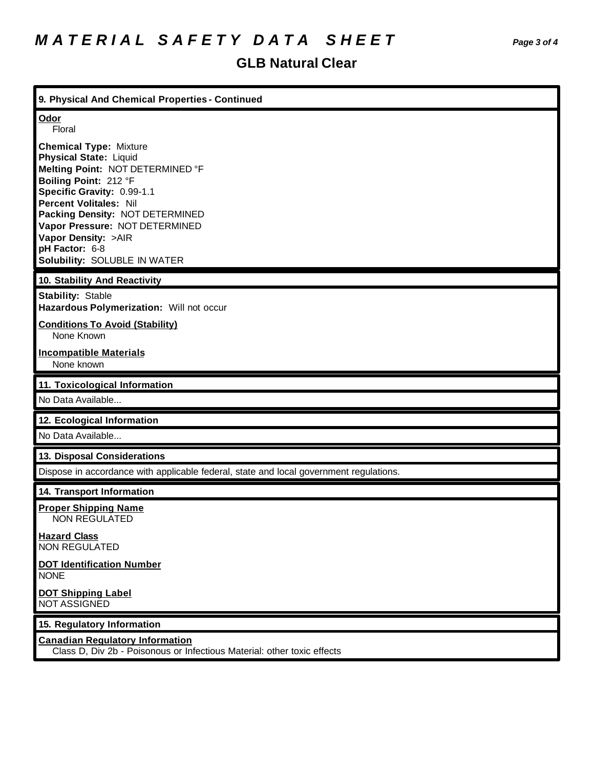## **GLB Natural Clear**

| 9. Physical And Chemical Properties - Continued                                                                                                                                                                                                                                                                                          |
|------------------------------------------------------------------------------------------------------------------------------------------------------------------------------------------------------------------------------------------------------------------------------------------------------------------------------------------|
| Odor<br>Floral                                                                                                                                                                                                                                                                                                                           |
| <b>Chemical Type: Mixture</b><br><b>Physical State: Liquid</b><br>Melting Point: NOT DETERMINED °F<br>Boiling Point: 212 °F<br>Specific Gravity: 0.99-1.1<br><b>Percent Volitales: Nil</b><br>Packing Density: NOT DETERMINED<br>Vapor Pressure: NOT DETERMINED<br>Vapor Density: >AIR<br>pH Factor: 6-8<br>Solubility: SOLUBLE IN WATER |
| 10. Stability And Reactivity                                                                                                                                                                                                                                                                                                             |
| <b>Stability: Stable</b><br>Hazardous Polymerization: Will not occur                                                                                                                                                                                                                                                                     |
| <b>Conditions To Avoid (Stability)</b><br>None Known                                                                                                                                                                                                                                                                                     |
| <b>Incompatible Materials</b><br>None known                                                                                                                                                                                                                                                                                              |
|                                                                                                                                                                                                                                                                                                                                          |
| 11. Toxicological Information                                                                                                                                                                                                                                                                                                            |
| No Data Available                                                                                                                                                                                                                                                                                                                        |
| 12. Ecological Information                                                                                                                                                                                                                                                                                                               |
| No Data Available                                                                                                                                                                                                                                                                                                                        |
| 13. Disposal Considerations                                                                                                                                                                                                                                                                                                              |
| Dispose in accordance with applicable federal, state and local government regulations.                                                                                                                                                                                                                                                   |
| 14. Transport Information                                                                                                                                                                                                                                                                                                                |
| <b>Proper Shipping Name</b><br><b>NON REGULATED</b>                                                                                                                                                                                                                                                                                      |
| <b>Hazard Class</b><br><b>NON REGULATED</b>                                                                                                                                                                                                                                                                                              |
| <b>DOT Identification Number</b><br><b>NONE</b>                                                                                                                                                                                                                                                                                          |
| <b>DOT Shipping Label</b><br><b>NOT ASSIGNED</b>                                                                                                                                                                                                                                                                                         |
| 15. Regulatory Information                                                                                                                                                                                                                                                                                                               |

Class D, Div 2b - Poisonous or Infectious Material: other toxic effects